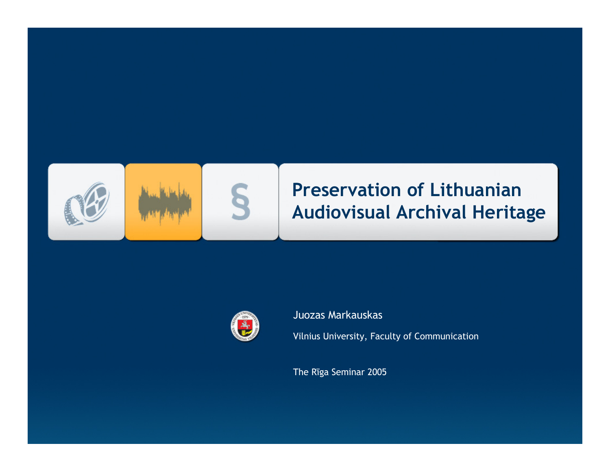



### Juozas Markauskas

Vilnius University, Faculty of Communication

The Rīga Seminar 2005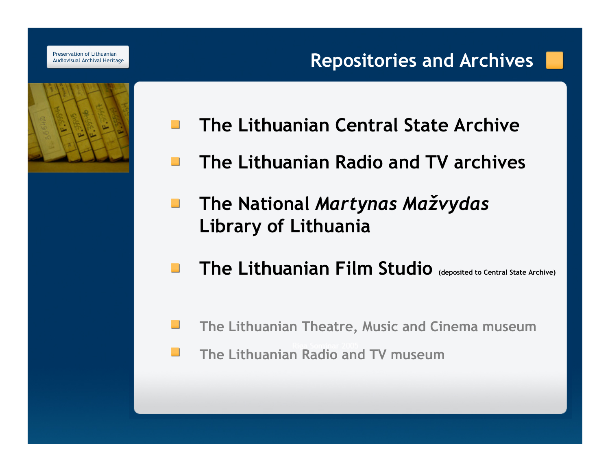

- The Lithuanian Central State Archive $\mathcal{L}^{\mathcal{A}}$
- The Lithuanian Radio and TV archives**College**
- The National Martynas Mažvydas $\mathcal{L}_{\mathcal{A}}$ Library of Lithuania
- The Lithuanian Film Studio (deposited to Central State Archive) **Contract**
- The Lithuanian Theatre, Music and Cinema museum
- The Lithuanian Radio and TV museum $\mathbb{Z}^2$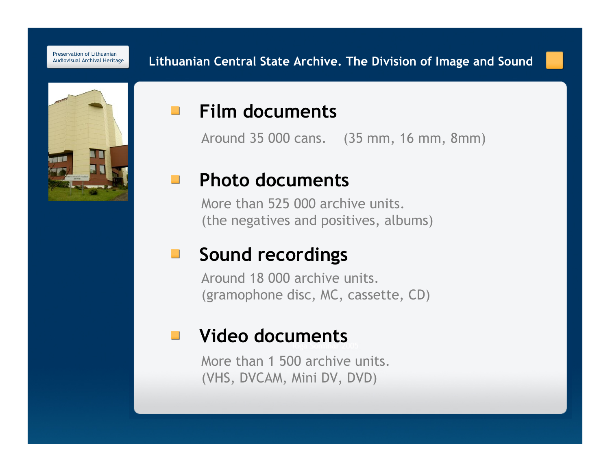

### Film documents $\mathcal{O}(\mathcal{O}_\mathcal{C})$

Around 35 000 cans. (35 mm, 16 mm, 8mm)

#### Photo documents**Contract**

More than 525 000 archive units. (the negatives and positives, albums)

### Sound recordings $\mathcal{L}(\mathcal{A})$

Around 18 000 archive units. (gramophone disc, MC, cassette, CD)

#### Video documents $\mathcal{L}^{\mathcal{L}}$

More than 1 500 archive units.(VHS, DVCAM, Mini DV, DVD)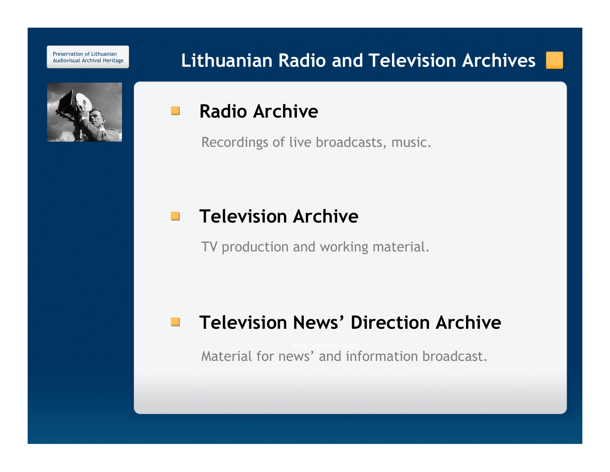# Lithuanian Radio and Television Archives



#### Radio Archive $\mathcal{L}_{\text{max}}$

Recordings of live broadcasts, music.

#### Television Archive $\mathbb{Z}$

TV production and working material.

#### Television News' Direction Archive  $\mathcal{L}^{\mathcal{A}}$

Material for news' and information broadcast.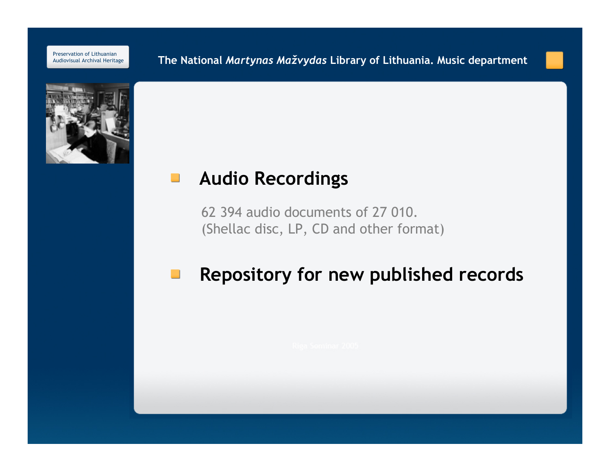**E** The National *Martynas Mažvydas* Library of Lithuania. Music department



#### Audio Recordings $\mathcal{L}_{\mathcal{A}}$

62 394 audio documents of 27 010.(Shellac disc, LP, CD and other format)

#### Repository for new published records $\Box$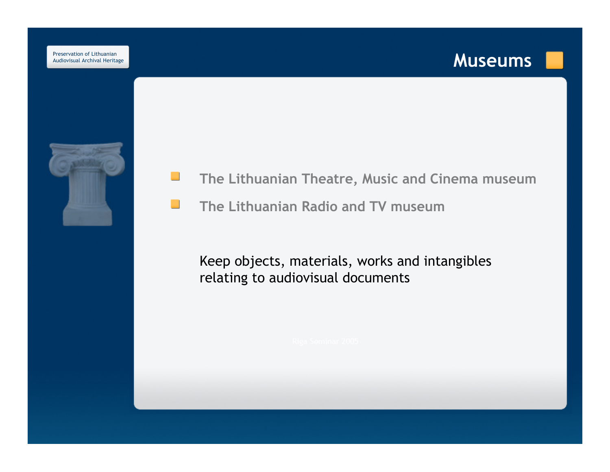## Museums



- $\mathcal{L}^{\mathcal{L}}$ The Lithuanian Theatre, Music and Cinema museum
- The Lithuanian Radio and TV museum $\mathcal{L}$

Keep objects, materials, works and intangibles relating to audiovisual documents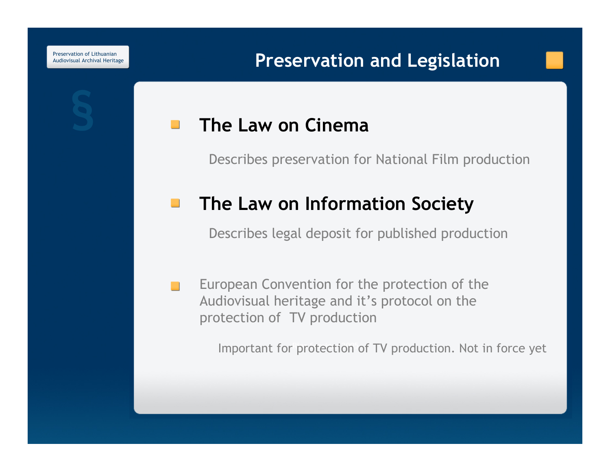#### The Law on Cinema $\sim$

Describes preservation for National Film production

#### The Law on Information Society  $\Box$

Describes legal deposit for published production

European Convention for the protection of the  $\sim$ Audiovisual heritage and it's protocol on the protection of TV production

Important for protection of TV production. Not in force yet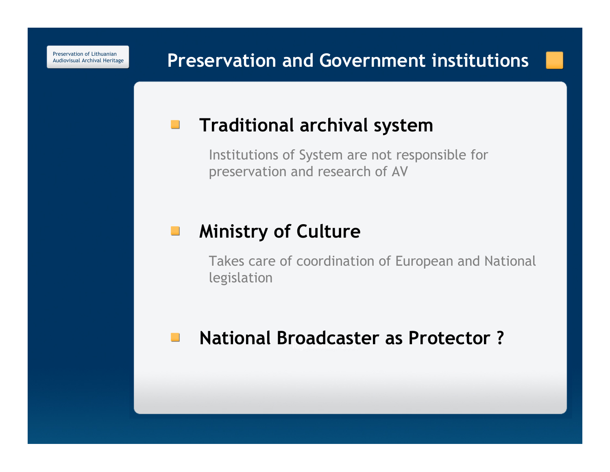# Preservation and Government institutions

#### Traditional archival system $\mathcal{L}_{\mathcal{A}}$

Institutions of System are not responsible for preservation and research of AV

#### Ministry of Culture $\mathcal{L}_{\mathcal{A}}$

Takes care of coordination of European and Nationallegislation

#### National Broadcaster as Protector ? $\mathcal{L}_{\text{max}}$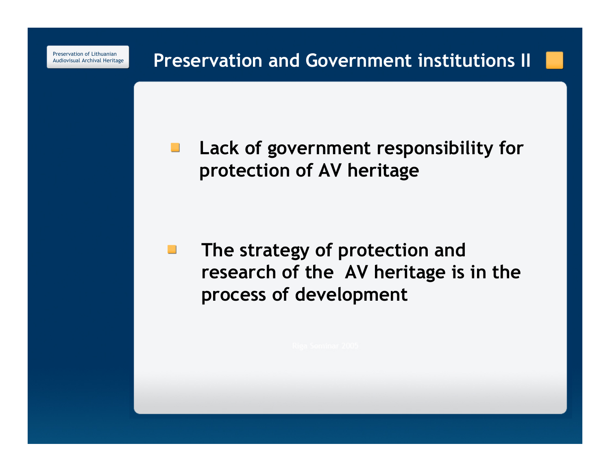> Lack of government responsibility for  $\mathcal{L}_{\mathcal{A}}$ protection of AV heritage

The strategy of protection and  $\mathcal{L}_{\mathcal{A}}$ research of the AV heritage is in the process of development